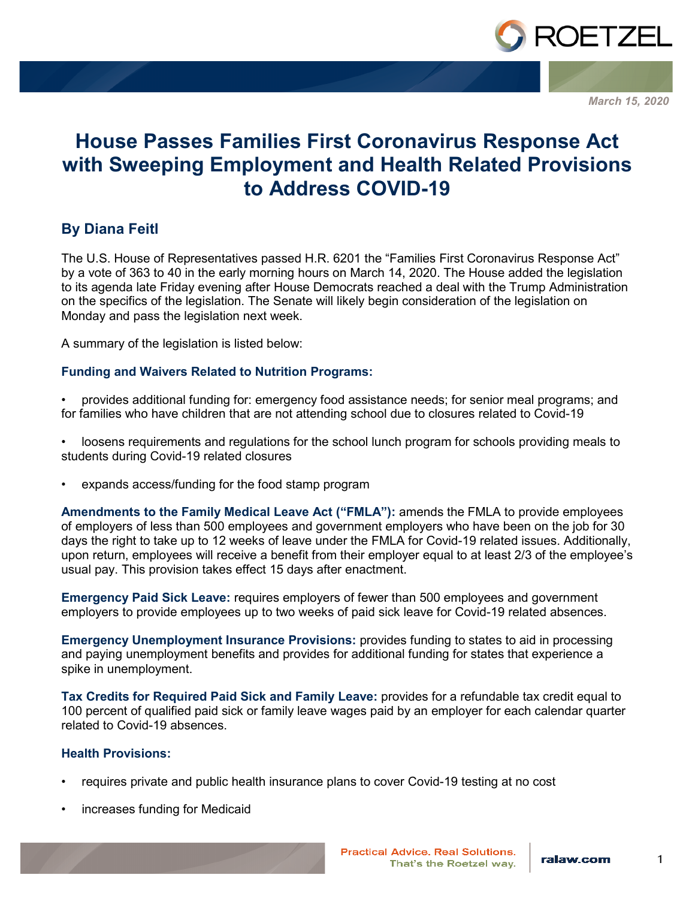

*March 15, 2020*

# **House Passes Families First Coronavirus Response Act with Sweeping Employment and Health Related Provisions to Address COVID-19**

# **By Diana Feitl**

The U.S. House of Representatives passed H.R. 6201 the "Families First Coronavirus Response Act" by a vote of 363 to 40 in the early morning hours on March 14, 2020. The House added the legislation to its agenda late Friday evening after House Democrats reached a deal with the Trump Administration on the specifics of the legislation. The Senate will likely begin consideration of the legislation on Monday and pass the legislation next week.

A summary of the legislation is listed below:

## **Funding and Waivers Related to Nutrition Programs:**

- provides additional funding for: emergency food assistance needs; for senior meal programs; and for families who have children that are not attending school due to closures related to Covid-19
- loosens requirements and regulations for the school lunch program for schools providing meals to students during Covid-19 related closures
- expands access/funding for the food stamp program

**Amendments to the Family Medical Leave Act ("FMLA"):** amends the FMLA to provide employees of employers of less than 500 employees and government employers who have been on the job for 30 days the right to take up to 12 weeks of leave under the FMLA for Covid-19 related issues. Additionally, upon return, employees will receive a benefit from their employer equal to at least 2/3 of the employee's usual pay. This provision takes effect 15 days after enactment.

**Emergency Paid Sick Leave:** requires employers of fewer than 500 employees and government employers to provide employees up to two weeks of paid sick leave for Covid-19 related absences.

**Emergency Unemployment Insurance Provisions:** provides funding to states to aid in processing and paying unemployment benefits and provides for additional funding for states that experience a spike in unemployment.

**Tax Credits for Required Paid Sick and Family Leave:** provides for a refundable tax credit equal to 100 percent of qualified paid sick or family leave wages paid by an employer for each calendar quarter related to Covid-19 absences.

### **Health Provisions:**

- requires private and public health insurance plans to cover Covid-19 testing at no cost
- increases funding for Medicaid